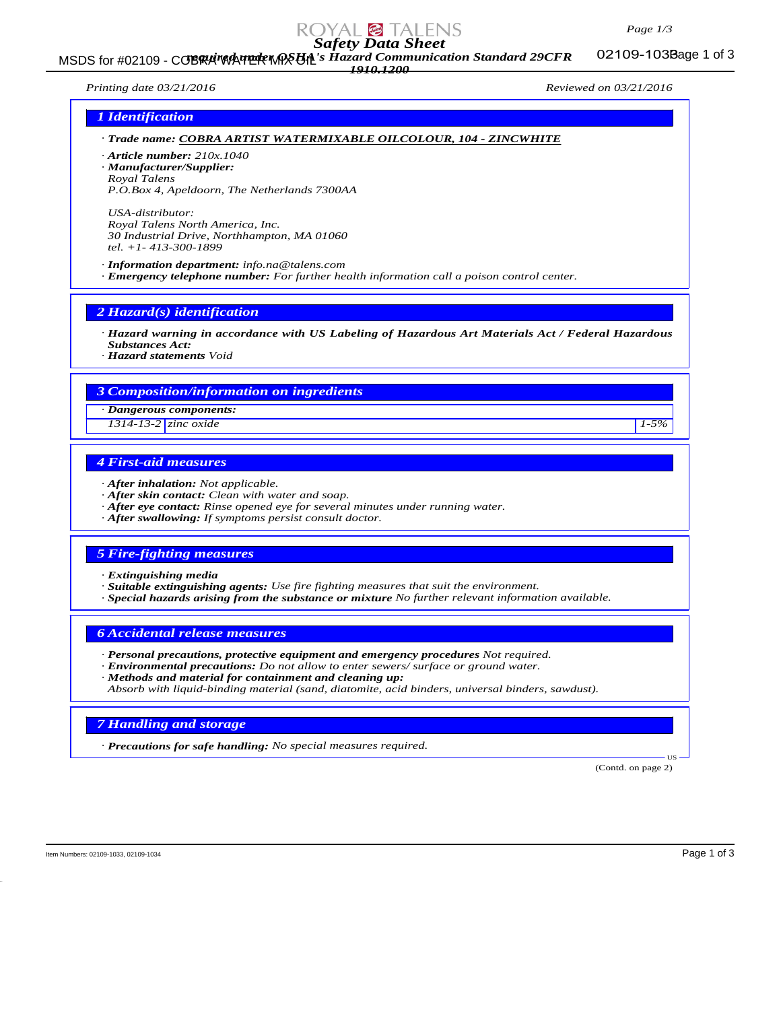

# *Safety Data Sheet*

MSDS for #02109 - COBRA WATER MASUA's Hazard Communication Standard 29CFR 02109-103Bage 1 of 3 *1910.1200*

02109-103Bage 1 of 3

*Printing date 03/21/2016 Reviewed on 03/21/2016*

### *1 Identification*

- *· Trade name: COBRA ARTIST WATERMIXABLE OILCOLOUR, 104 ZINCWHITE*
- *· Article number: 210x.1040*
- *· Manufacturer/Supplier: Royal Talens*
- *P.O.Box 4, Apeldoorn, The Netherlands 7300AA*

*USA-distributor: Royal Talens North America, Inc. 30 Industrial Drive, Northhampton, MA 01060 tel. +1- 413-300-1899*

*· Information department: info.na@talens.com · Emergency telephone number: For further health information call a poison control center.*

*2 Hazard(s) identification*

- *· Hazard warning in accordance with US Labeling of Hazardous Art Materials Act / Federal Hazardous Substances Act:*
- *· Hazard statements Void*

### *3 Composition/information on ingredients*

*· Dangerous components:*

*1314-13-2 zinc oxide 1-5%*

## *4 First-aid measures*

- *· After inhalation: Not applicable.*
- *· After skin contact: Clean with water and soap.*
- *· After eye contact: Rinse opened eye for several minutes under running water.*
- *· After swallowing: If symptoms persist consult doctor.*

### *5 Fire-fighting measures*

- *· Extinguishing media*
- *· Suitable extinguishing agents: Use fire fighting measures that suit the environment.*
- *· Special hazards arising from the substance or mixture No further relevant information available.*

### *6 Accidental release measures*

- *· Personal precautions, protective equipment and emergency procedures Not required.*
- *· Environmental precautions: Do not allow to enter sewers/ surface or ground water.*
- *· Methods and material for containment and cleaning up:*
- *Absorb with liquid-binding material (sand, diatomite, acid binders, universal binders, sawdust).*

### *7 Handling and storage*

*· Precautions for safe handling: No special measures required.*

(Contd. on page 2)

US

Item Numbers: 02109-1033, 02109-1034 Page 1 of 3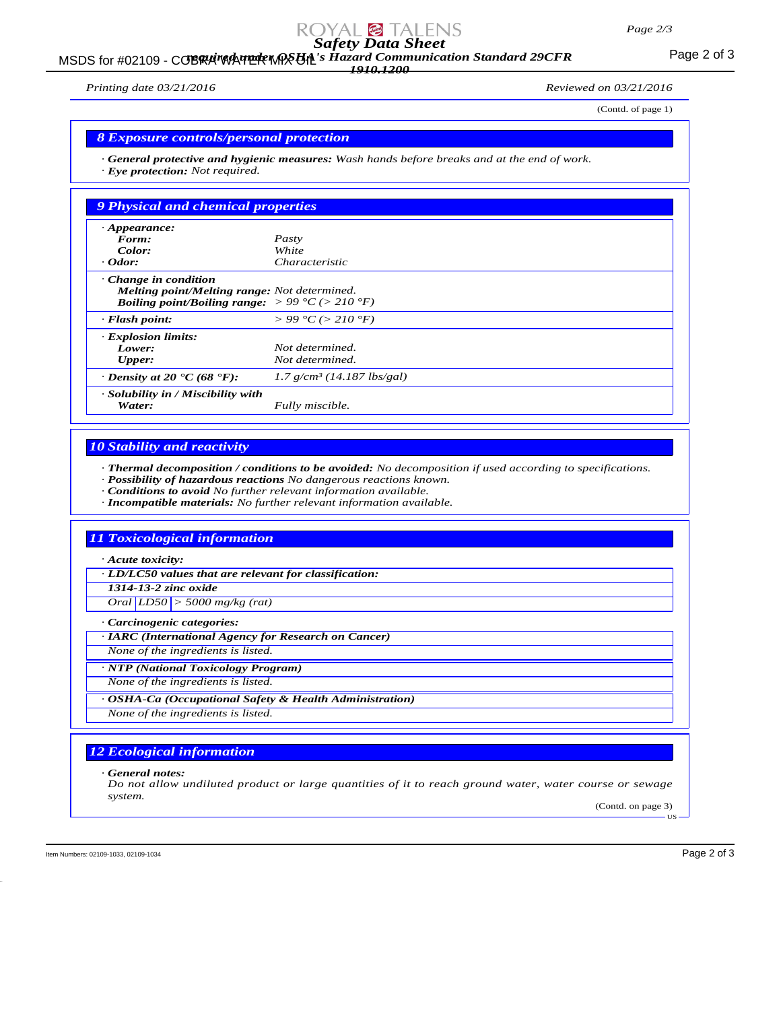# *Safety Data Sheet*

### MSDS for #02109 - COBRA WATER MASUAL's Hazard Communication Standard 29CFR<br>MSDS for #02109 - COBRA WATER MASUAL's Hazard Communication Standard 29CFR *1910.1200*

*Printing date 03/21/2016 Reviewed on 03/21/2016*

(Contd. of page 1)

### *8 Exposure controls/personal protection*

*· General protective and hygienic measures: Wash hands before breaks and at the end of work. · Eye protection: Not required.*

| 9 Physical and chemical properties                                                                                                                        |                                          |
|-----------------------------------------------------------------------------------------------------------------------------------------------------------|------------------------------------------|
| $\cdot$ Appearance:                                                                                                                                       |                                          |
| Form:                                                                                                                                                     | Pasty                                    |
| Color:                                                                                                                                                    | White                                    |
| $\cdot$ Odor:                                                                                                                                             | <i>Characteristic</i>                    |
| $\cdot$ Change in condition<br>Melting point/Melting range: Not determined.<br><b>Boiling point/Boiling range:</b> $> 99 \degree C$ ( $> 210 \degree F$ ) |                                          |
| $\cdot$ Flash point:                                                                                                                                      | $> 99 \degree C$ ( $> 210 \degree F$ )   |
| <b>Explosion limits:</b>                                                                                                                                  |                                          |
| Lower:                                                                                                                                                    | Not determined.                          |
| Upper:                                                                                                                                                    | Not determined.                          |
| $\cdot$ Density at 20 $\cdot$ C (68 $\cdot$ F):                                                                                                           | $1.7$ g/cm <sup>3</sup> (14.187 lbs/gal) |
| · Solubility in / Miscibility with<br>Water:                                                                                                              | Fully miscible.                          |

### *10 Stability and reactivity*

*· Thermal decomposition / conditions to be avoided: No decomposition if used according to specifications.*

- *· Possibility of hazardous reactions No dangerous reactions known.*
- *· Conditions to avoid No further relevant information available.*
- *· Incompatible materials: No further relevant information available.*

### *11 Toxicological information*

*· Acute toxicity:*

*· LD/LC50 values that are relevant for classification:*

*1314-13-2 zinc oxide*

*Oral LD50 > 5000 mg/kg (rat)*

*· Carcinogenic categories:*

*· IARC (International Agency for Research on Cancer)*

*None of the ingredients is listed.*

*· NTP (National Toxicology Program)*

*None of the ingredients is listed.*

*· OSHA-Ca (Occupational Safety & Health Administration)*

*None of the ingredients is listed.*

# *12 Ecological information*

*· General notes:*

*Do not allow undiluted product or large quantities of it to reach ground water, water course or sewage system.*

(Contd. on page 3) US